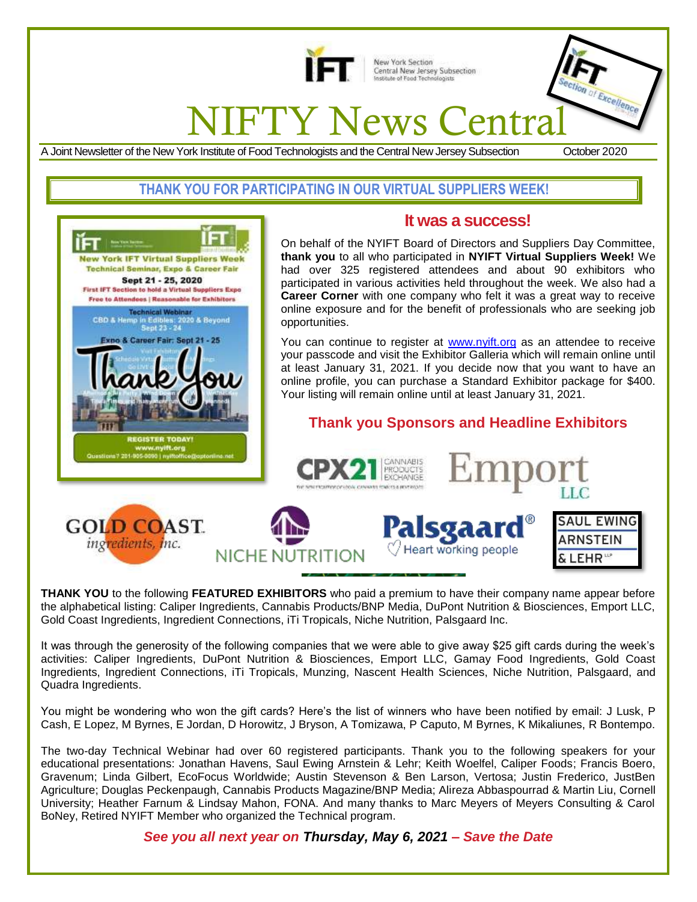

New York Section Central New Jersey Subsection<br>Institute of Food Technologists

# **IFTY News Centra**

A Joint Newsletter of the New York Institute of Food Technologists and the Central New Jersey Subsection October 2020

cellence

# **THANK YOU FOR PARTICIPATING IN OUR VIRTUAL SUPPLIERS WEEK!**



J.

# **It was a success!**

On behalf of the NYIFT Board of Directors and Suppliers Day Committee, **thank you** to all who participated in **NYIFT Virtual Suppliers Week!** We had over 325 registered attendees and about 90 exhibitors who participated in various activities held throughout the week. We also had a **Career Corner** with one company who felt it was a great way to receive online exposure and for the benefit of professionals who are seeking job opportunities.

You can continue to register at [www.nyift.org](http://www.nyift.org/) as an attendee to receive your passcode and visit the Exhibitor Galleria which will remain online until at least January 31, 2021. If you decide now that you want to have an online profile, you can purchase a Standard Exhibitor package for \$400. Your listing will remain online until at least January 31, 2021.

# **Thank you Sponsors and Headline Exhibitors**



CANNARIS

**THANK YOU** to the following **FEATURED EXHIBITORS** who paid a premium to have their company name appear before the alphabetical listing: Caliper Ingredients, Cannabis Products/BNP Media, DuPont Nutrition & Biosciences, Emport LLC, Gold Coast Ingredients, Ingredient Connections, iTi Tropicals, Niche Nutrition, Palsgaard Inc.

It was through the generosity of the following companies that we were able to give away \$25 gift cards during the week's activities: Caliper Ingredients, DuPont Nutrition & Biosciences, Emport LLC, Gamay Food Ingredients, Gold Coast Ingredients, Ingredient Connections, iTi Tropicals, Munzing, Nascent Health Sciences, Niche Nutrition, Palsgaard, and Quadra Ingredients.

You might be wondering who won the gift cards? Here's the list of winners who have been notified by email: J Lusk, P Cash, E Lopez, M Byrnes, E Jordan, D Horowitz, J Bryson, A Tomizawa, P Caputo, M Byrnes, K Mikaliunes, R Bontempo.

The two-day Technical Webinar had over 60 registered participants. Thank you to the following speakers for your educational presentations: Jonathan Havens, Saul Ewing Arnstein & Lehr; Keith Woelfel, Caliper Foods; Francis Boero, Gravenum; Linda Gilbert, EcoFocus Worldwide; Austin Stevenson & Ben Larson, Vertosa; Justin Frederico, JustBen Agriculture; Douglas Peckenpaugh, Cannabis Products Magazine/BNP Media; Alireza Abbaspourrad & Martin Liu, Cornell University; Heather Farnum & Lindsay Mahon, FONA. And many thanks to Marc Meyers of Meyers Consulting & Carol BoNey, Retired NYIFT Member who organized the Technical program.

*See you all next year on Thursday, May 6, 2021 – Save the Date*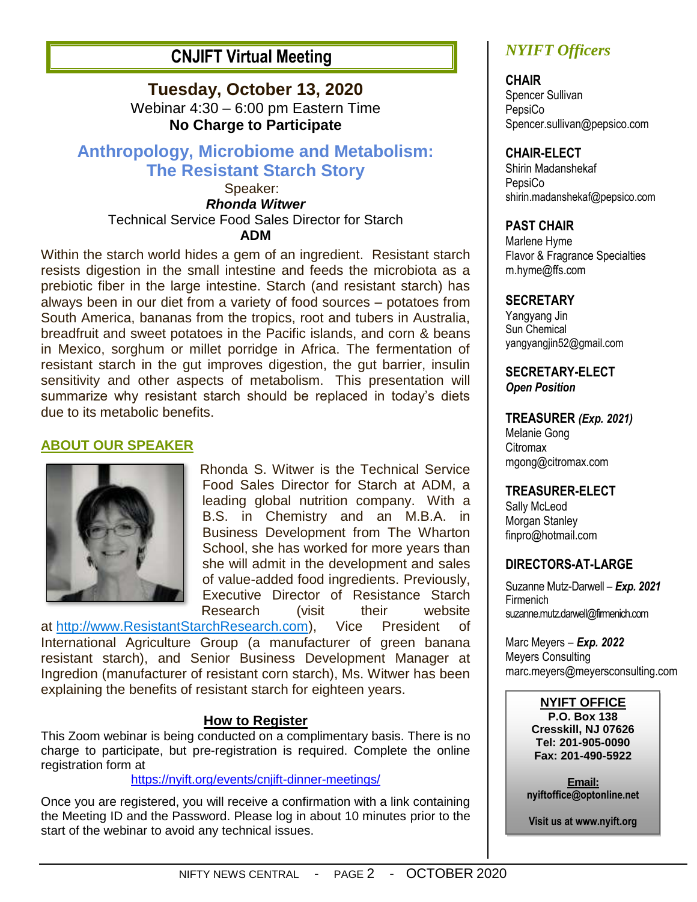# **CNJIFT Virtual Meeting**

**Tuesday, October 13, 2020** Webinar 4:30 – 6:00 pm Eastern Time **No Charge to Participate**

# **Anthropology, Microbiome and Metabolism: The Resistant Starch Story**

Speaker: *Rhonda Witwer* Technical Service Food Sales Director for Starch **ADM**

Within the starch world hides a gem of an ingredient. Resistant starch resists digestion in the small intestine and feeds the microbiota as a prebiotic fiber in the large intestine. Starch (and resistant starch) has always been in our diet from a variety of food sources – potatoes from South America, bananas from the tropics, root and tubers in Australia, breadfruit and sweet potatoes in the Pacific islands, and corn & beans in Mexico, sorghum or millet porridge in Africa. The fermentation of resistant starch in the gut improves digestion, the gut barrier, insulin sensitivity and other aspects of metabolism. This presentation will summarize why resistant starch should be replaced in today's diets due to its metabolic benefits.

## **ABOUT OUR SPEAKER**



Rhonda S. Witwer is the Technical Service Food Sales Director for Starch at ADM, a leading global nutrition company. With a B.S. in Chemistry and an M.B.A. in Business Development from The Wharton School, she has worked for more years than she will admit in the development and sales of value-added food ingredients. Previously, Executive Director of Resistance Starch Research (visit their website

at [http://www.ResistantStarchResearch.com\)](http://www.resistantstarchresearch.com/), Vice President of International Agriculture Group (a manufacturer of green banana resistant starch), and Senior Business Development Manager at Ingredion (manufacturer of resistant corn starch), Ms. Witwer has been explaining the benefits of resistant starch for eighteen years.

#### **How to Register**

This Zoom webinar is being conducted on a complimentary basis. There is no charge to participate, but pre-registration is required. Complete the online registration form at

<https://nyift.org/events/cnjift-dinner-meetings/>

Once you are registered, you will receive a confirmation with a link containing the Meeting ID and the Password. Please log in about 10 minutes prior to the start of the webinar to avoid any technical issues.

# *NYIFT Officers*

**CHAIR** Spencer Sullivan **PepsiCo** Spencer.sullivan@pepsico.com

#### **CHAIR-ELECT**

Shirin Madanshekaf **PepsiCo** shirin.madanshekaf@pepsico.com

#### **PAST CHAIR**

Marlene Hyme Flavor & Fragrance Specialties m.hyme@ffs.com

#### **SECRETARY**

Yangyang Jin Sun Chemical yangyangjin52@gmail.com

**SECRETARY-ELECT** *Open Position*

#### **TREASURER** *(Exp. 2021)*

Melanie Gong Citromax mgong@citromax.com

#### **TREASURER-ELECT**

Sally McLeod Morgan Stanley finpro@hotmail.com

#### **DIRECTORS-AT-LARGE**

Suzanne Mutz-Darwell *– Exp. 2021* Firmenich suzanne.mutz.darwell@firmenich.com

Marc Meyers *– Exp. 2022* Meyers Consulting marc.meyers@meyersconsulting.com

#### **NYIFT OFFICE**

**P.O. Box 138 Cresskill, NJ 07626 Tel: 201-905-0090 Fax: 201-490-5922**

**Email: nyiftoffice@optonline.net**

**Visit us at www.nyift.org**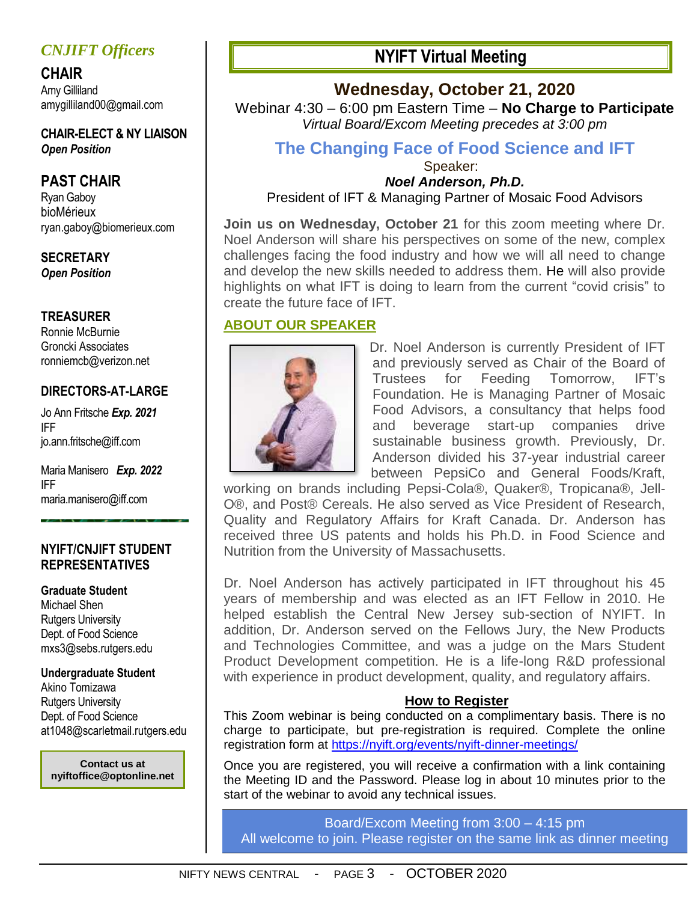# *CNJIFT Officers*

**CHAIR** Amy Gilliland amygilliland00@gmail.com

**CHAIR-ELECT & NY LIAISON** *Open Position*

# **PAST CHAIR**

Ryan Gaboy bioMérieux ryan.gaboy@biomerieux.com

#### **SECRETARY** *Open Position*

#### **TREASURER**

Ronnie McBurnie Groncki Associates ronniemcb@verizon.net

# **DIRECTORS-AT-LARGE**

Jo Ann Fritsche *Exp. 2021* IFF [jo.ann.fritsche@iff.c](mailto:jo.ann.fritsche@iff)om

Maria Manisero *Exp. 2022* IFF [maria.manisero@iff.com](mailto:maria.manisero@iff.com)

#### **NYIFT/CNJIFT STUDENT REPRESENTATIVES**

#### **Graduate Student**

Michael Shen Rutgers University Dept. of Food Science mxs3@sebs.rutgers.edu

# **Undergraduate Student**

Akino Tomizawa Rutgers University Dept. of Food Science at1048@scarletmail.rutgers.edu

**Contact us at nyiftoffice@optonline.net**

# **NYIFT Virtual Meeting**

# **Wednesday, October 21, 2020**

Webinar 4:30 – 6:00 pm Eastern Time – **No Charge to Participate** *Virtual Board/Excom Meeting precedes at 3:00 pm*

# **The Changing Face of Food Science and IFT**

Speaker: *Noel Anderson, Ph.D.*

President of IFT & Managing Partner of Mosaic Food Advisors

**Join us on Wednesday, October 21** for this zoom meeting where Dr. Noel Anderson will share his perspectives on some of the new, complex challenges facing the food industry and how we will all need to change and develop the new skills needed to address them. He will also provide highlights on what IFT is doing to learn from the current "covid crisis" to create the future face of IFT.

# **ABOUT OUR SPEAKER**



Dr. Noel Anderson is currently President of IFT and previously served as Chair of the Board of Trustees for Feeding Tomorrow, IFT's Foundation. He is Managing Partner of Mosaic Food Advisors, a consultancy that helps food and beverage start-up companies drive sustainable business growth. Previously, Dr. Anderson divided his 37-year industrial career between PepsiCo and General Foods/Kraft,

working on brands including Pepsi-Cola®, Quaker®, Tropicana®, Jell-O®, and Post® Cereals. He also served as Vice President of Research, Quality and Regulatory Affairs for Kraft Canada. Dr. Anderson has received three US patents and holds his Ph.D. in Food Science and Nutrition from the University of Massachusetts.

Dr. Noel Anderson has actively participated in IFT throughout his 45 years of membership and was elected as an IFT Fellow in 2010. He helped establish the Central New Jersey sub-section of NYIFT. In addition, Dr. Anderson served on the Fellows Jury, the New Products and Technologies Committee, and was a judge on the Mars Student Product Development competition. He is a life-long R&D professional with experience in product development, quality, and regulatory affairs.

## **How to Register**

This Zoom webinar is being conducted on a complimentary basis. There is no charge to participate, but pre-registration is required. Complete the online registration form at <https://nyift.org/events/nyift-dinner-meetings/>

Once you are registered, you will receive a confirmation with a link containing the Meeting ID and the Password. Please log in about 10 minutes prior to the start of the webinar to avoid any technical issues.

Board/Excom Meeting from 3:00 – 4:15 pm All welcome to join. Please register on the same link as dinner meeting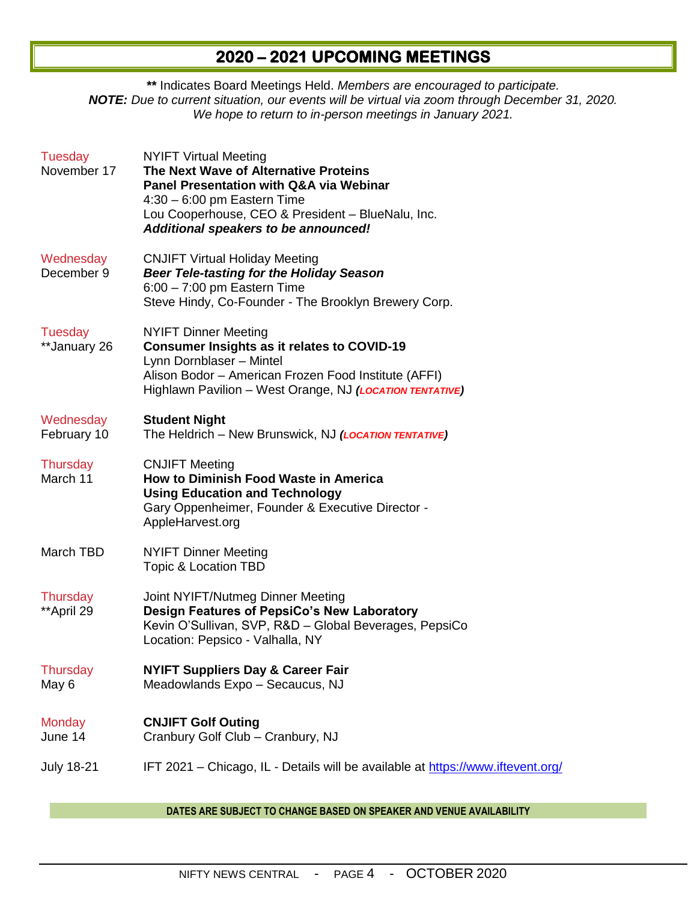# **2020 – 2021 UPCOMING MEETINGS**

**\*\*** Indicates Board Meetings Held. *Members are encouraged to participate. NOTE: Due to current situation, our events will be virtual via zoom through December 31, 2020. We hope to return to in-person meetings in January 2021.* 

| <b>NYIFT Virtual Meeting</b><br>The Next Wave of Alternative Proteins<br><b>Panel Presentation with Q&amp;A via Webinar</b><br>$4:30 - 6:00$ pm Eastern Time<br>Lou Cooperhouse, CEO & President - BlueNalu, Inc.<br>Additional speakers to be announced! |
|-----------------------------------------------------------------------------------------------------------------------------------------------------------------------------------------------------------------------------------------------------------|
| <b>CNJIFT Virtual Holiday Meeting</b><br><b>Beer Tele-tasting for the Holiday Season</b><br>$6:00 - 7:00$ pm Eastern Time<br>Steve Hindy, Co-Founder - The Brooklyn Brewery Corp.                                                                         |
| <b>NYIFT Dinner Meeting</b><br><b>Consumer Insights as it relates to COVID-19</b><br>Lynn Dornblaser - Mintel<br>Alison Bodor - American Frozen Food Institute (AFFI)<br>Highlawn Pavilion - West Orange, NJ (LOCATION TENTATIVE)                         |
| <b>Student Night</b><br>The Heldrich - New Brunswick, NJ (LOCATION TENTATIVE)                                                                                                                                                                             |
| <b>CNJIFT Meeting</b><br>How to Diminish Food Waste in America<br><b>Using Education and Technology</b><br>Gary Oppenheimer, Founder & Executive Director -<br>AppleHarvest.org                                                                           |
| <b>NYIFT Dinner Meeting</b><br>Topic & Location TBD                                                                                                                                                                                                       |
| Joint NYIFT/Nutmeg Dinner Meeting<br>Design Features of PepsiCo's New Laboratory<br>Kevin O'Sullivan, SVP, R&D - Global Beverages, PepsiCo<br>Location: Pepsico - Valhalla, NY                                                                            |
| <b>NYIFT Suppliers Day &amp; Career Fair</b><br>Meadowlands Expo - Secaucus, NJ                                                                                                                                                                           |
| <b>CNJIFT Golf Outing</b><br>Cranbury Golf Club - Cranbury, NJ                                                                                                                                                                                            |
| IFT 2021 - Chicago, IL - Details will be available at https://www.iftevent.org/                                                                                                                                                                           |
|                                                                                                                                                                                                                                                           |

**DATES ARE SUBJECT TO CHANGE BASED ON SPEAKER AND VENUE AVAILABILITY**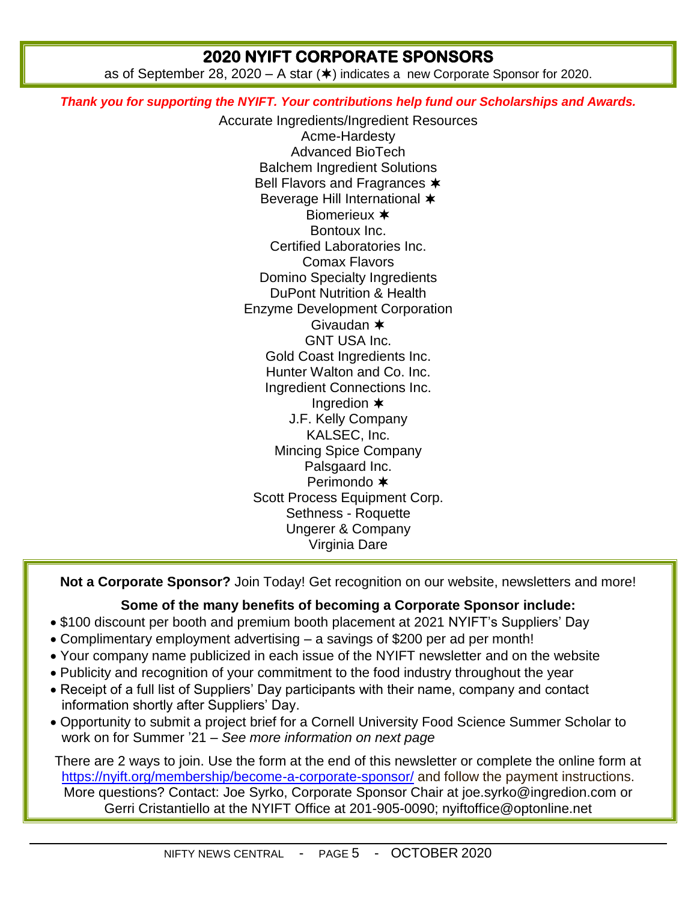# **2020 NYIFT CORPORATE SPONSORS**

as of September 28, 2020 – A star  $(\ast)$  indicates a new Corporate Sponsor for 2020.

*Thank you for supporting the NYIFT. Your contributions help fund our Scholarships and Awards.*

Accurate Ingredients/Ingredient Resources Acme-Hardesty Advanced BioTech Balchem Ingredient Solutions Bell Flavors and Fragrances  $*$ Beverage Hill International  $\ast$ Biomerieux \* Bontoux Inc. Certified Laboratories Inc. Comax Flavors Domino Specialty Ingredients DuPont Nutrition & Health Enzyme Development Corporation Givaudan GNT USA Inc. Gold Coast Ingredients Inc. Hunter Walton and Co. Inc. Ingredient Connections Inc. Ingredion J.F. Kelly Company KALSEC, Inc. Mincing Spice Company Palsgaard Inc. Perimondo \* Scott Process Equipment Corp. Sethness - Roquette Ungerer & Company Virginia Dare

**Not a Corporate Sponsor?** Join Today! Get recognition on our website, newsletters and more!

#### **Some of the many benefits of becoming a Corporate Sponsor include:**

- \$100 discount per booth and premium booth placement at 2021 NYIFT's Suppliers' Day
- Complimentary employment advertising a savings of \$200 per ad per month!
- Your company name publicized in each issue of the NYIFT newsletter and on the website
- Publicity and recognition of your commitment to the food industry throughout the year
- Receipt of a full list of Suppliers' Day participants with their name, company and contact information shortly after Suppliers' Day.
- Opportunity to submit a project brief for a Cornell University Food Science Summer Scholar to work on for Summer '21 – *See more information on next page*

There are 2 ways to join. Use the form at the end of this newsletter or complete the online form at <https://nyift.org/membership/become-a-corporate-sponsor/> and follow the payment instructions. More questions? Contact: Joe Syrko, Corporate Sponsor Chair at joe.syrko@ingredion.com or Gerri Cristantiello at the NYIFT Office at 201-905-0090; [nyiftoffice@optonline.net](mailto:nyiftoffice@optonline.net)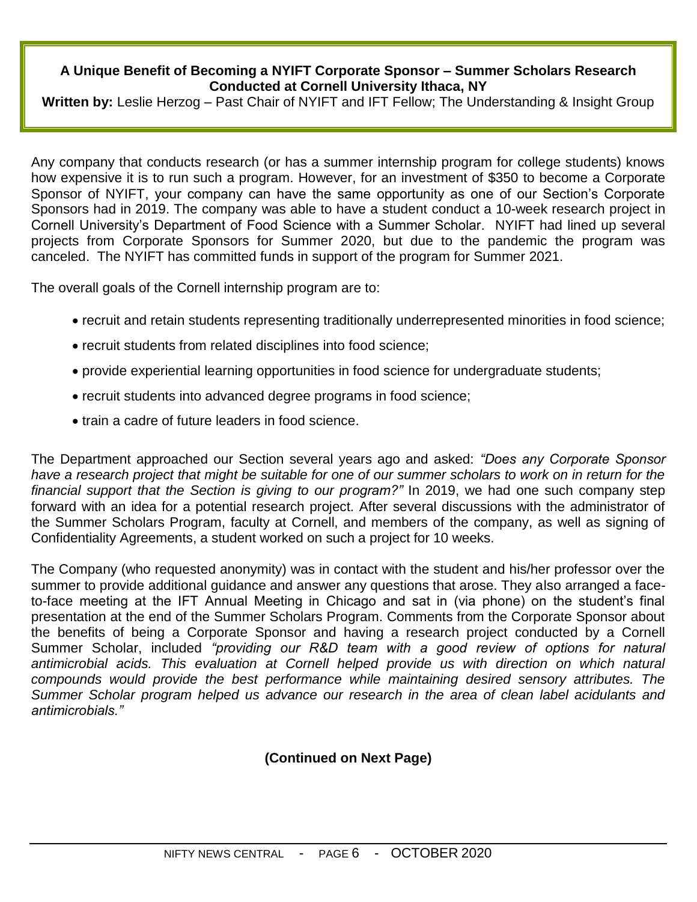#### **A Unique Benefit of Becoming a NYIFT Corporate Sponsor – Summer Scholars Research Conducted at Cornell University Ithaca, NY**

**Written by:** Leslie Herzog – Past Chair of NYIFT and IFT Fellow; The Understanding & Insight Group

Any company that conducts research (or has a summer internship program for college students) knows how expensive it is to run such a program. However, for an investment of \$350 to become a Corporate Sponsor of NYIFT, your company can have the same opportunity as one of our Section's Corporate Sponsors had in 2019. The company was able to have a student conduct a 10-week research project in Cornell University's Department of Food Science with a Summer Scholar. NYIFT had lined up several projects from Corporate Sponsors for Summer 2020, but due to the pandemic the program was canceled. The NYIFT has committed funds in support of the program for Summer 2021.

The overall goals of the Cornell internship program are to:

- recruit and retain students representing traditionally underrepresented minorities in food science;
- recruit students from related disciplines into food science;
- provide experiential learning opportunities in food science for undergraduate students;
- recruit students into advanced degree programs in food science;
- train a cadre of future leaders in food science.

The Department approached our Section several years ago and asked: *"Does any Corporate Sponsor have a research project that might be suitable for one of our summer scholars to work on in return for the financial support that the Section is giving to our program?"* In 2019, we had one such company step forward with an idea for a potential research project. After several discussions with the administrator of the Summer Scholars Program, faculty at Cornell, and members of the company, as well as signing of Confidentiality Agreements, a student worked on such a project for 10 weeks.

The Company (who requested anonymity) was in contact with the student and his/her professor over the summer to provide additional guidance and answer any questions that arose. They also arranged a faceto-face meeting at the IFT Annual Meeting in Chicago and sat in (via phone) on the student's final presentation at the end of the Summer Scholars Program. Comments from the Corporate Sponsor about the benefits of being a Corporate Sponsor and having a research project conducted by a Cornell Summer Scholar, included *"providing our R&D team with a good review of options for natural antimicrobial acids. This evaluation at Cornell helped provide us with direction on which natural compounds would provide the best performance while maintaining desired sensory attributes. The Summer Scholar program helped us advance our research in the area of clean label acidulants and antimicrobials."* 

# **(Continued on Next Page)**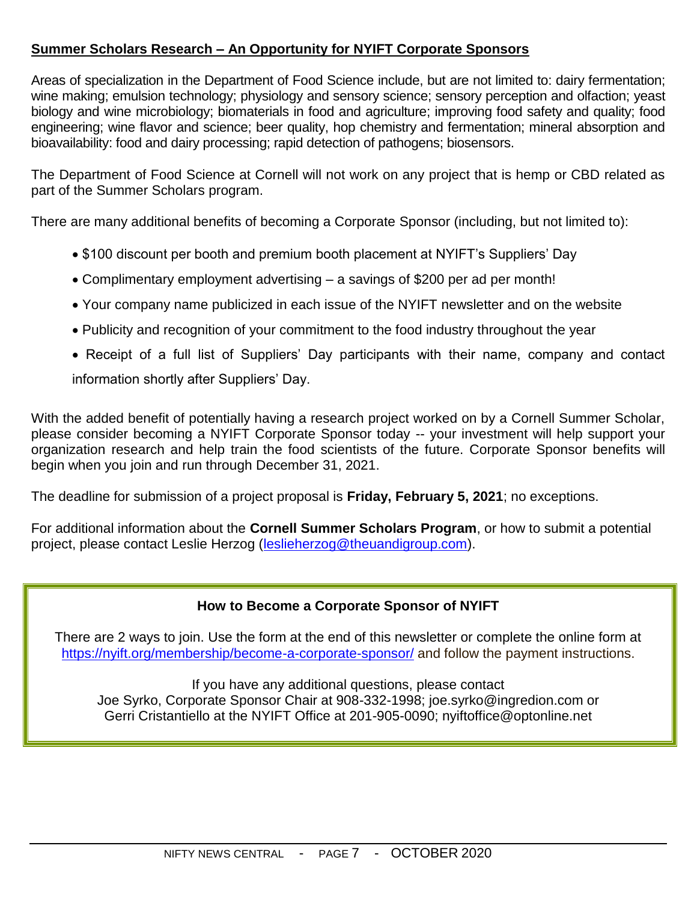# **Summer Scholars Research – An Opportunity for NYIFT Corporate Sponsors**

Areas of specialization in the Department of Food Science include, but are not limited to: dairy fermentation; wine making; emulsion technology; physiology and sensory science; sensory perception and olfaction; yeast biology and wine microbiology; biomaterials in food and agriculture; improving food safety and quality; food engineering; wine flavor and science; beer quality, hop chemistry and fermentation; mineral absorption and bioavailability: food and dairy processing; rapid detection of pathogens; biosensors.

The Department of Food Science at Cornell will not work on any project that is hemp or CBD related as part of the Summer Scholars program.

There are many additional benefits of becoming a Corporate Sponsor (including, but not limited to):

- \$100 discount per booth and premium booth placement at NYIFT's Suppliers' Day
- Complimentary employment advertising a savings of \$200 per ad per month!
- Your company name publicized in each issue of the NYIFT newsletter and on the website
- Publicity and recognition of your commitment to the food industry throughout the year
- Receipt of a full list of Suppliers' Day participants with their name, company and contact information shortly after Suppliers' Day.

With the added benefit of potentially having a research project worked on by a Cornell Summer Scholar, please consider becoming a NYIFT Corporate Sponsor today -- your investment will help support your organization research and help train the food scientists of the future. Corporate Sponsor benefits will begin when you join and run through December 31, 2021.

The deadline for submission of a project proposal is **Friday, February 5, 2021**; no exceptions.

For additional information about the **Cornell Summer Scholars Program**, or how to submit a potential project, please contact Leslie Herzog [\(leslieherzog@theuandigroup.com\)](mailto:leslieherzog@theuandigroup.com).

## **How to Become a Corporate Sponsor of NYIFT**

There are 2 ways to join. Use the form at the end of this newsletter or complete the online form at <https://nyift.org/membership/become-a-corporate-sponsor/> and follow the payment instructions.

If you have any additional questions, please contact Joe Syrko, Corporate Sponsor Chair at 908-332-1998; joe.syrko@ingredion.com or Gerri Cristantiello at the NYIFT Office at 201-905-0090; [nyiftoffice@optonline.net](mailto:nyiftoffice@optonline.net)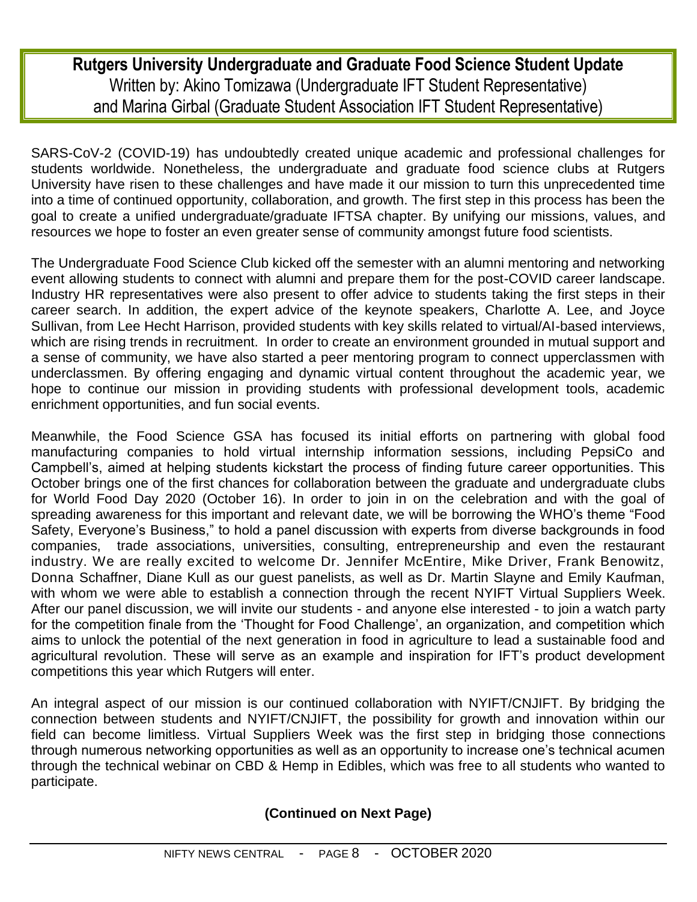# **Rutgers University Undergraduate and Graduate Food Science Student Update** Written by: Akino Tomizawa (Undergraduate IFT Student Representative) and Marina Girbal (Graduate Student Association IFT Student Representative)

SARS-CoV-2 (COVID-19) has undoubtedly created unique academic and professional challenges for students worldwide. Nonetheless, the undergraduate and graduate food science clubs at Rutgers University have risen to these challenges and have made it our mission to turn this unprecedented time into a time of continued opportunity, collaboration, and growth. The first step in this process has been the goal to create a unified undergraduate/graduate IFTSA chapter. By unifying our missions, values, and resources we hope to foster an even greater sense of community amongst future food scientists.

The Undergraduate Food Science Club kicked off the semester with an alumni mentoring and networking event allowing students to connect with alumni and prepare them for the post-COVID career landscape. Industry HR representatives were also present to offer advice to students taking the first steps in their career search. In addition, the expert advice of the keynote speakers, Charlotte A. Lee, and Joyce Sullivan, from Lee Hecht Harrison, provided students with key skills related to virtual/AI-based interviews, which are rising trends in recruitment. In order to create an environment grounded in mutual support and a sense of community, we have also started a peer mentoring program to connect upperclassmen with underclassmen. By offering engaging and dynamic virtual content throughout the academic year, we hope to continue our mission in providing students with professional development tools, academic enrichment opportunities, and fun social events.

Meanwhile, the Food Science GSA has focused its initial efforts on partnering with global food manufacturing companies to hold virtual internship information sessions, including PepsiCo and Campbell's, aimed at helping students kickstart the process of finding future career opportunities. This October brings one of the first chances for collaboration between the graduate and undergraduate clubs for World Food Day 2020 (October 16). In order to join in on the celebration and with the goal of spreading awareness for this important and relevant date, we will be borrowing the WHO's theme "Food Safety, Everyone's Business," to hold a panel discussion with experts from diverse backgrounds in food companies, trade associations, universities, consulting, entrepreneurship and even the restaurant industry. We are really excited to welcome Dr. Jennifer McEntire, Mike Driver, Frank Benowitz, Donna Schaffner, Diane Kull as our guest panelists, as well as Dr. Martin Slayne and Emily Kaufman, with whom we were able to establish a connection through the recent NYIFT Virtual Suppliers Week. After our panel discussion, we will invite our students - and anyone else interested - to join a watch party for the competition finale from the 'Thought for Food Challenge', an organization, and competition which aims to unlock the potential of the next generation in food in agriculture to lead a sustainable food and agricultural revolution. These will serve as an example and inspiration for IFT's product development competitions this year which Rutgers will enter.

An integral aspect of our mission is our continued collaboration with NYIFT/CNJIFT. By bridging the connection between students and NYIFT/CNJIFT, the possibility for growth and innovation within our field can become limitless. Virtual Suppliers Week was the first step in bridging those connections through numerous networking opportunities as well as an opportunity to increase one's technical acumen through the technical webinar on CBD & Hemp in Edibles, which was free to all students who wanted to participate.

# **(Continued on Next Page)**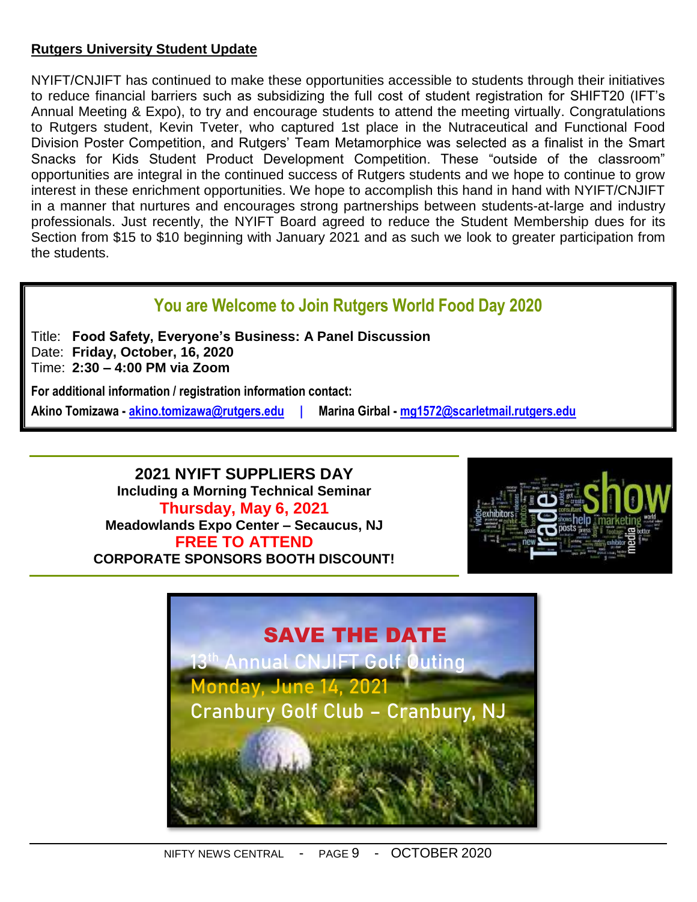## **Rutgers University Student Update**

NYIFT/CNJIFT has continued to make these opportunities accessible to students through their initiatives to reduce financial barriers such as subsidizing the full cost of student registration for SHIFT20 (IFT's Annual Meeting & Expo), to try and encourage students to attend the meeting virtually. Congratulations to Rutgers student, Kevin Tveter, who captured 1st place in the Nutraceutical and Functional Food Division Poster Competition, and Rutgers' Team Metamorphice was selected as a finalist in the Smart Snacks for Kids Student Product Development Competition. These "outside of the classroom" opportunities are integral in the continued success of Rutgers students and we hope to continue to grow interest in these enrichment opportunities. We hope to accomplish this hand in hand with NYIFT/CNJIFT in a manner that nurtures and encourages strong partnerships between students-at-large and industry professionals. Just recently, the NYIFT Board agreed to reduce the Student Membership dues for its Section from \$15 to \$10 beginning with January 2021 and as such we look to greater participation from the students.

# **You are Welcome to Join Rutgers World Food Day 2020**

Title: **Food Safety, Everyone's Business: A Panel Discussion** Date: **Friday, October, 16, 2020** Time: **2:30 – 4:00 PM via Zoom**

**For additional information / registration information contact:**

**Akino Tomizawa - [akino.tomizawa@rutgers.edu](mailto:akino.tomizawa@rutgers.edu) | Marina Girbal - [mg1572@scarletmail.rutgers.edu](mailto:mg1572@scarletmail.rutgers.edu)**

**2021 NYIFT SUPPLIERS DAY Including a Morning Technical Seminar Thursday, May 6, 2021 Meadowlands Expo Center – Secaucus, NJ FREE TO ATTEND CORPORATE SPONSORS BOOTH DISCOUNT!**



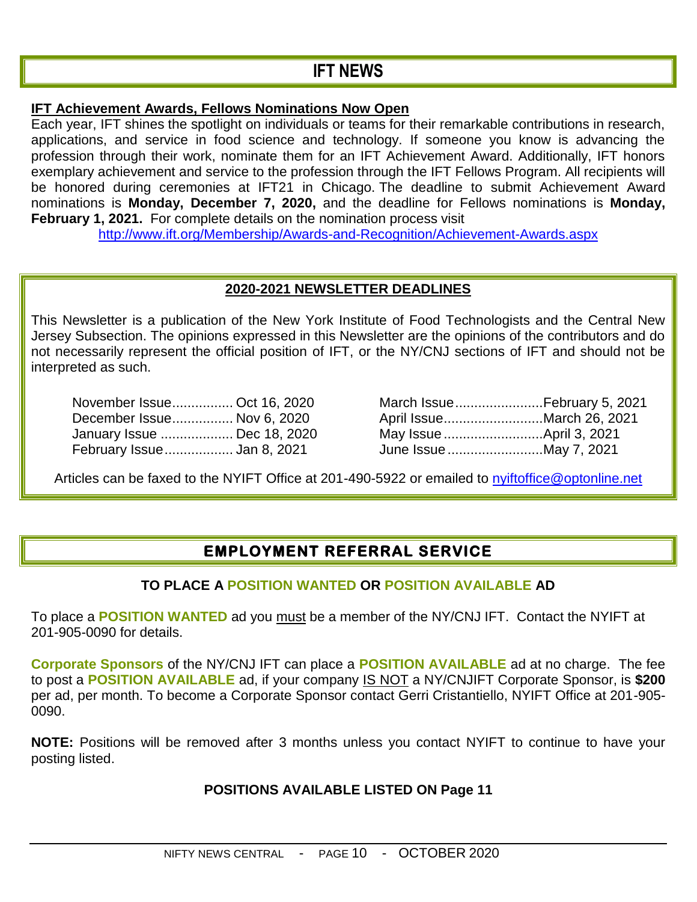# **IFT NEWS**

#### **IFT [Achievement](http://www.ift.org/membership/awards-and-recognition.aspx) Awards, Fellows Nominations Now Open**

Each year, IFT shines the spotlight on individuals or teams for their remarkable contributions in research, applications, and service in food science and technology. If someone you know is advancing the profession through their work, nominate them for an IFT Achievement Award. Additionally, IFT honors exemplary achievement and service to the profession through the IFT Fellows Program. All recipients will be honored during ceremonies at IFT21 in Chicago. The deadline to submit Achievement Award nominations is **Monday, December 7, 2020,** and the deadline for Fellows nominations is **Monday, February 1, 2021.** For complete details on the nomination process visit

<http://www.ift.org/Membership/Awards-and-Recognition/Achievement-Awards.aspx>

## **2020-2021 NEWSLETTER DEADLINES**

This Newsletter is a publication of the New York Institute of Food Technologists and the Central New Jersey Subsection. The opinions expressed in this Newsletter are the opinions of the contributors and do not necessarily represent the official position of IFT, or the NY/CNJ sections of IFT and should not be interpreted as such.

| November Issue Oct 16, 2020 |                        | March IssueFebruary 5, 2 |
|-----------------------------|------------------------|--------------------------|
| December Issue Nov 6, 2020  |                        | April IssueMarch 26, 20  |
| January Issue  Dec 18, 2020 |                        |                          |
| February Issue Jan 8, 2021  | June Issue May 7, 2021 |                          |

| November Issue Oct 16, 2020 |                        | March IssueFebruary 5, 2021 |
|-----------------------------|------------------------|-----------------------------|
| December Issue Nov 6, 2020  |                        | April IssueMarch 26, 2021   |
| January Issue  Dec 18, 2020 |                        | May Issue April 3, 2021     |
| February Issue Jan 8, 2021  | June Issue May 7, 2021 |                             |

Articles can be faxed to the NYIFT Office at 201-490-5922 or emailed to [nyiftoffice@optonline.net](mailto:nyiftoffice@optonline.net)

# **EMPLOYMENT REFERRAL SERVICE**

#### **TO PLACE A POSITION WANTED OR POSITION AVAILABLE AD**

To place a **POSITION WANTED** ad you must be a member of the NY/CNJ IFT. Contact the NYIFT at 201-905-0090 for details.

**Corporate Sponsors** of the NY/CNJ IFT can place a **POSITION AVAILABLE** ad at no charge. The fee to post a **POSITION AVAILABLE** ad, if your company IS NOT a NY/CNJIFT Corporate Sponsor, is **\$200** per ad, per month. To become a Corporate Sponsor contact Gerri Cristantiello, NYIFT Office at 201-905- 0090.

**NOTE:** Positions will be removed after 3 months unless you contact NYIFT to continue to have your posting listed.

#### **POSITIONS AVAILABLE LISTED ON Page 11**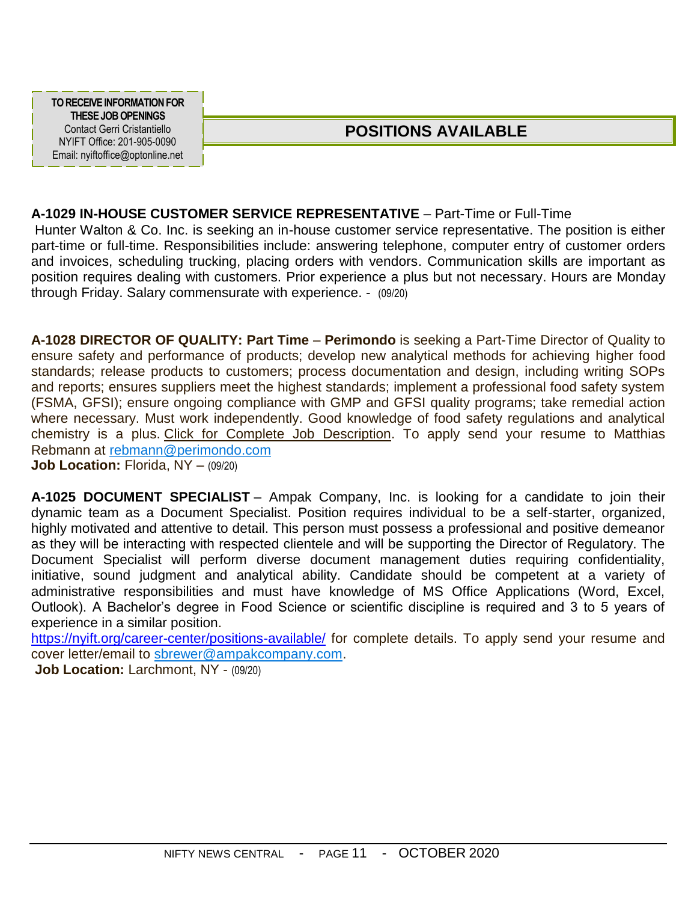**TO RECEIVE INFORMATION FOR THESE JOBOPENINGS** Contact Gerri Cristantiello NYIFT Office: 201-905-0090 Email: nyiftoffice@optonline.net

# **POSITIONS AVAILABLE**

## **A-1029 IN-HOUSE CUSTOMER SERVICE REPRESENTATIVE** – Part-Time or Full-Time

Hunter Walton & Co. Inc. is seeking an in-house customer service representative. The position is either part-time or full-time. Responsibilities include: answering telephone, computer entry of customer orders and invoices, scheduling trucking, placing orders with vendors. Communication skills are important as position requires dealing with customers. Prior experience a plus but not necessary. Hours are Monday through Friday. Salary commensurate with experience. - (09/20)

**A-1028 DIRECTOR OF QUALITY: Part Time** – **Perimondo** is seeking a Part-Time Director of Quality to ensure safety and performance of products; develop new analytical methods for achieving higher food standards; release products to customers; process documentation and design, including writing SOPs and reports; ensures suppliers meet the highest standards; implement a professional food safety system (FSMA, GFSI); ensure ongoing compliance with GMP and GFSI quality programs; take remedial action where necessary. Must work independently. Good knowledge of food safety regulations and analytical chemistry is a plus. [Click for Complete Job Description.](https://nyift.org/wp-content/uploads/2020/05/perimondo-Director-of-Quality.pdf) To apply send your resume to Matthias Rebmann at [rebmann@perimondo.com](mailto:rebmann@perimondo.com)

**Job Location: Florida, NY – (09/20)** 

**A-1025 DOCUMENT SPECIALIST** – Ampak Company, Inc. is looking for a candidate to join their dynamic team as a Document Specialist. Position requires individual to be a self-starter, organized, highly motivated and attentive to detail. This person must possess a professional and positive demeanor as they will be interacting with respected clientele and will be supporting the Director of Regulatory. The Document Specialist will perform diverse document management duties requiring confidentiality, initiative, sound judgment and analytical ability. Candidate should be competent at a variety of administrative responsibilities and must have knowledge of MS Office Applications (Word, Excel, Outlook). A Bachelor's degree in Food Science or scientific discipline is required and 3 to 5 years of experience in a similar position.

<https://nyift.org/career-center/positions-available/> for complete details. To apply send your resume and cover letter/email to [sbrewer@ampakcompany.com.](mailto:sbrewer@ampakcompany.com)

**Job Location:** Larchmont, NY - (09/20)